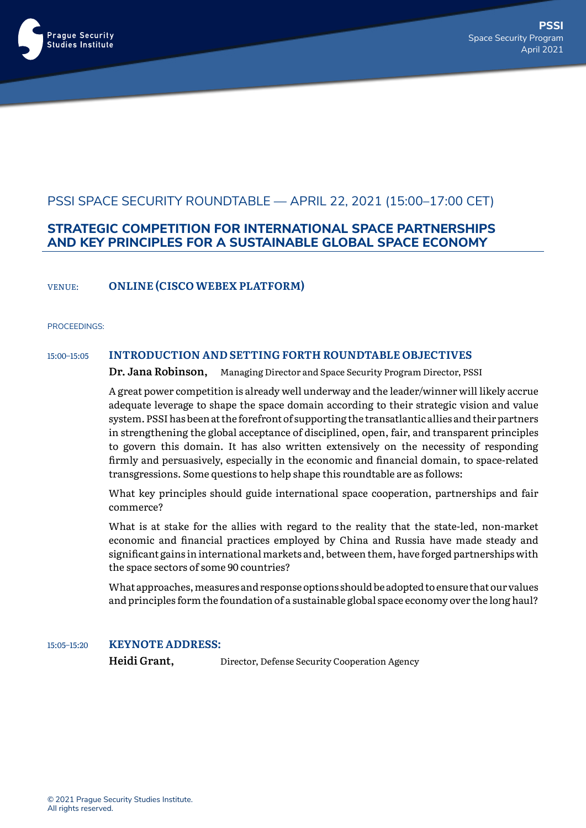

# PSSI SPACE SECURITY ROUNDTABLE — APRIL 22, 2021 (15:00–17:00 CET)

### **STRATEGIC COMPETITION FOR INTERNATIONAL SPACE PARTNERSHIPS AND KEY PRINCIPLES FOR A SUSTAINABLE GLOBAL SPACE ECONOMY**

VENUE: **ONLINE (CISCOWEBEX PLATFORM)**

#### PROCEEDINGS:

### 15:00–15:05 **INTRODUCTION AND SETTING FORTH ROUNDTABLE OBJECTIVES**

**Dr. Jana Robinson,** Managing Director and Space Security Program Director, PSSI

A great power competition is already well underway and the leader/winner will likely accrue adequate leverage to shape the space domain according to their strategic vision and value system. PSSI has been at the forefront of supporting the transatlantic allies and their partners in strengthening the global acceptance of disciplined, open, fair, and transparent principles to govern this domain. It has also written extensively on the necessity of responding firmly and persuasively, especially in the economic and financial domain, to space-related transgressions. Some questions to help shape this roundtable are as follows:

What key principles should guide international space cooperation, partnerships and fair commerce?

What is at stake for the allies with regard to the reality that the state-led, non-market economic and financial practices employed by China and Russia have made steady and significant gains in international markets and, between them, have forged partnerships with the space sectors of some 90 countries?

What approaches, measures and response options should be adopted to ensure that our values and principles form the foundation of a sustainable global space economy over the long haul?

#### 15:05-15:20 **KEYNOTE ADDRESS:**

**Heidi Grant,** Director, Defense Security Cooperation Agency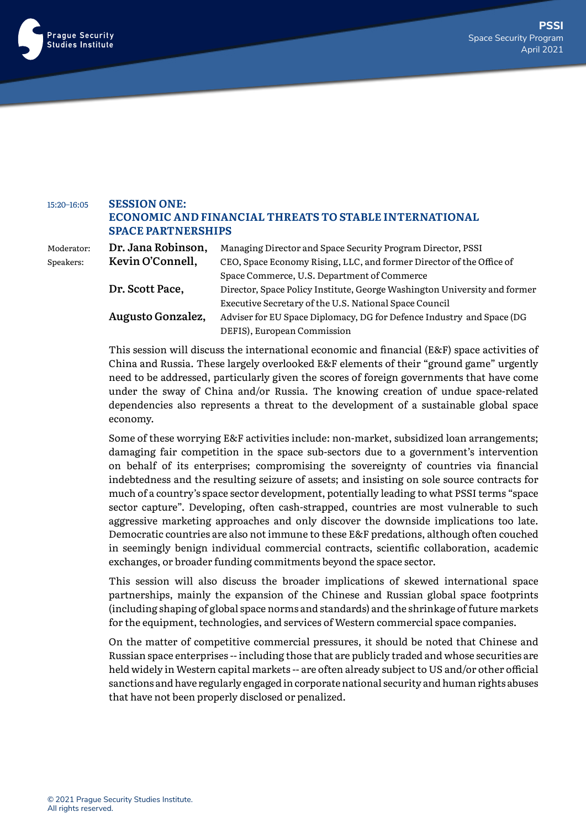

## 15:20–16:05 **SESSION ONE: ECONOMIC AND FINANCIAL THREATS TO STABLE INTERNATIONAL SPACE PARTNERSHIPS**

Moderator: **Dr. Jana Robinson,** Managing Director and Space Security Program Director, PSSI Speakers: **Kevin O'Connell,** CEO, Space Economy Rising, LLC, and former Director of the Office of Space Commerce, U.S. Department of Commerce **Dr. Scott Pace,** Director, Space Policy Institute, George Washington University and former Executive Secretary of the U.S. National Space Council **Augusto Gonzalez,** Adviser for EU Space Diplomacy, DG for Defence Industry and Space (DG DEFIS), European Commission

> This session will discuss the international economic and financial (E&F) space activities of China and Russia. These largely overlooked E&F elements of their "ground game" urgently need to be addressed, particularly given the scores of foreign governments that have come under the sway of China and/or Russia. The knowing creation of undue space-related dependencies also represents a threat to the development of a sustainable global space economy.

> Some of these worrying E&F activities include: non-market, subsidized loan arrangements; damaging fair competition in the space sub-sectors due to a government's intervention on behalf of its enterprises; compromising the sovereignty of countries via financial indebtedness and the resulting seizure of assets; and insisting on sole source contracts for much of a country's space sector development, potentially leading to what PSSI terms "space sector capture". Developing, often cash-strapped, countries are most vulnerable to such aggressive marketing approaches and only discover the downside implications too late. Democratic countries are also not immune to these E&F predations, although often couched in seemingly benign individual commercial contracts, scientific collaboration, academic exchanges, or broader funding commitments beyond the space sector.

> This session will also discuss the broader implications of skewed international space partnerships, mainly the expansion of the Chinese and Russian global space footprints (including shaping of global space norms and standards) and the shrinkage of future markets for the equipment, technologies, and services of Western commercial space companies.

> On the matter of competitive commercial pressures, it should be noted that Chinese and Russian space enterprises -- including those that are publicly traded and whose securities are held widely in Western capital markets -- are often already subject to US and/or other official sanctions and have regularly engaged in corporate national security and human rights abuses that have not been properly disclosed or penalized.